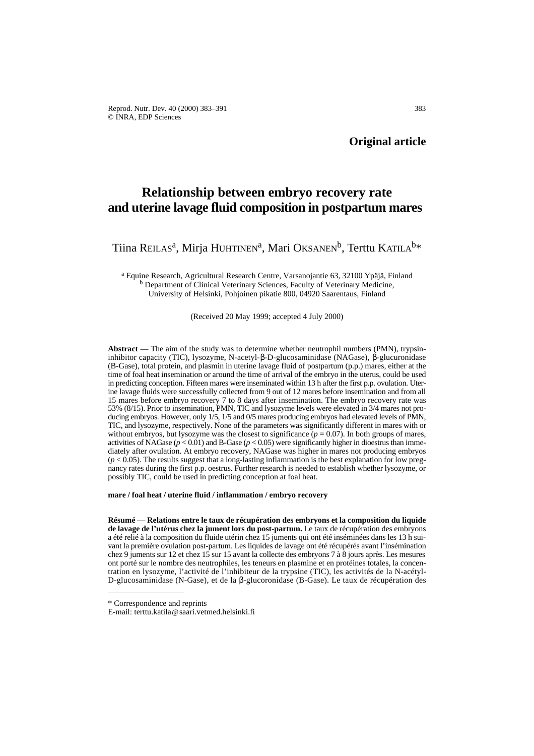Reprod. Nutr. Dev. 40 (2000) 383–391 383 © INRA, EDP Sciences

**Original article**

# **Relationship between embryo recovery rate and uterine lavage fluid composition in postpartum mares**

Tiina REILAS<sup>a</sup>, Mirja HUHTINEN<sup>a</sup>, Mari OKSANEN<sup>b</sup>, Terttu KATILA<sup>b\*</sup>

<sup>a</sup> Equine Research, Agricultural Research Centre, Varsanojantie 63, 32100 Ypäjä, Finland <sup>b</sup> Department of Clinical Veterinary Sciences, Faculty of Veterinary Medicine, University of Helsinki, Pohjoinen pikatie 800, 04920 Saarentaus, Finland

(Received 20 May 1999; accepted 4 July 2000)

**Abstract** — The aim of the study was to determine whether neutrophil numbers (PMN), trypsininhibitor capacity (TIC), lysozyme, N-acetyl-β-D-glucosaminidase (NAGase), β-glucuronidase (B-Gase), total protein, and plasmin in uterine lavage fluid of postpartum (p.p.) mares, either at the time of foal heat insemination or around the time of arrival of the embryo in the uterus, could be used in predicting conception. Fifteen mares were inseminated within 13 h after the first p.p. ovulation. Uterine lavage fluids were successfully collected from 9 out of 12 mares before insemination and from all 15 mares before embryo recovery 7 to 8 days after insemination. The embryo recovery rate was 53% (8/15). Prior to insemination, PMN, TIC and lysozyme levels were elevated in 3/4 mares not producing embryos. However, only 1/5, 1/5 and 0/5 mares producing embryos had elevated levels of PMN, TIC, and lysozyme, respectively. None of the parameters was significantly different in mares with or without embryos, but lysozyme was the closest to significance  $(p = 0.07)$ . In both groups of mares, activities of NAGase ( $p < 0.01$ ) and B-Gase ( $p < 0.05$ ) were significantly higher in dioestrus than immediately after ovulation. At embryo recovery, NAGase was higher in mares not producing embryos  $(p < 0.05)$ . The results suggest that a long-lasting inflammation is the best explanation for low pregnancy rates during the first p.p. oestrus. Further research is needed to establish whether lysozyme, or possibly TIC, could be used in predicting conception at foal heat.

**mare / foal heat / uterine fluid / inflammation / embryo recovery**

**Résumé** — **Relations entre le taux de récupération des embryons et la composition du liquide de lavage de l'utérus chez la jument lors du post-partum.** Le taux de récupération des embryons a été relié à la composition du fluide utérin chez 15 juments qui ont été inséminées dans les 13 h suivant la première ovulation post-partum. Les liquides de lavage ont été récupérés avant l'insémination chez 9 juments sur 12 et chez 15 sur 15 avant la collecte des embryons 7 à 8 jours après. Les mesures ont porté sur le nombre des neutrophiles, les teneurs en plasmine et en protéines totales, la concentration en lysozyme, l'activité de l'inhibiteur de la trypsine (TIC), les activités de la N-acétyl-D-glucosaminidase (N-Gase), et de la β-glucoronidase (B-Gase). Le taux de récupération des

<sup>\*</sup> Correspondence and reprints

E-mail: terttu.katila@saari.vetmed.helsinki.fi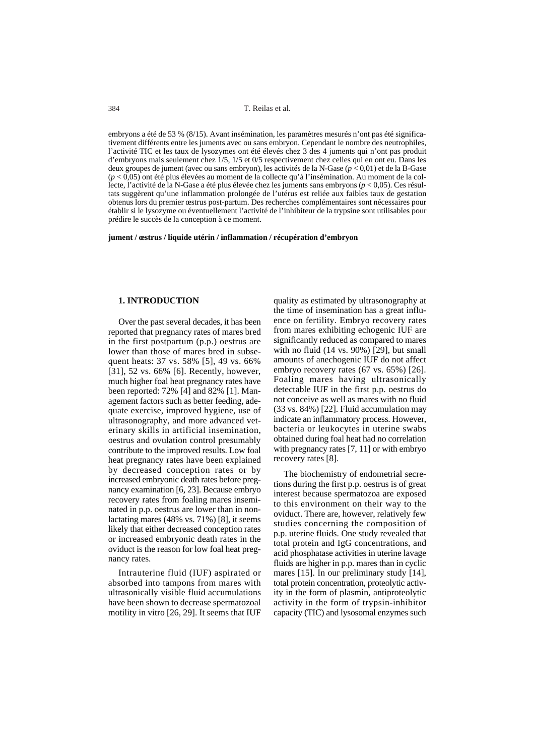384 T. Reilas et al.

embryons a été de 53 % (8/15). Avant insémination, les paramètres mesurés n'ont pas été significativement différents entre les juments avec ou sans embryon. Cependant le nombre des neutrophiles, l'activité TIC et les taux de lysozymes ont été élevés chez 3 des 4 juments qui n'ont pas produit d'embryons mais seulement chez 1/5, 1/5 et 0/5 respectivement chez celles qui en ont eu. Dans les deux groupes de jument (avec ou sans embryon), les activités de la N-Gase (*p* < 0,01) et de la B-Gase (*p* < 0,05) ont été plus élevées au moment de la collecte qu'à l'insémination. Au moment de la collecte, l'activité de la N-Gase a été plus élevée chez les juments sans embryons (*p* < 0,05). Ces résultats suggèrent qu'une inflammation prolongée de l'utérus est reliée aux faibles taux de gestation obtenus lors du premier œstrus post-partum. Des recherches complémentaires sont nécessaires pour établir si le lysozyme ou éventuellement l'activité de l'inhibiteur de la trypsine sont utilisables pour prédire le succès de la conception à ce moment.

**jument / œstrus / liquide utérin / inflammation / récupération d'embryon**

# **1. INTRODUCTION**

Over the past several decades, it has been reported that pregnancy rates of mares bred in the first postpartum (p.p.) oestrus are lower than those of mares bred in subsequent heats: 37 vs. 58% [5], 49 vs. 66% [31], 52 vs. 66% [6]. Recently, however, much higher foal heat pregnancy rates have been reported: 72% [4] and 82% [1]. Management factors such as better feeding, adequate exercise, improved hygiene, use of ultrasonography, and more advanced veterinary skills in artificial insemination, oestrus and ovulation control presumably contribute to the improved results. Low foal heat pregnancy rates have been explained by decreased conception rates or by increased embryonic death rates before pregnancy examination [6, 23]. Because embryo recovery rates from foaling mares inseminated in p.p. oestrus are lower than in nonlactating mares (48% vs. 71%) [8], it seems likely that either decreased conception rates or increased embryonic death rates in the oviduct is the reason for low foal heat pregnancy rates.

Intrauterine fluid (IUF) aspirated or absorbed into tampons from mares with ultrasonically visible fluid accumulations have been shown to decrease spermatozoal motility in vitro [26, 29]. It seems that IUF

quality as estimated by ultrasonography at the time of insemination has a great influence on fertility. Embryo recovery rates from mares exhibiting echogenic IUF are significantly reduced as compared to mares with no fluid (14 vs. 90%) [29], but small amounts of anechogenic IUF do not affect embryo recovery rates (67 vs. 65%) [26]. Foaling mares having ultrasonically detectable IUF in the first p.p. oestrus do not conceive as well as mares with no fluid (33 vs. 84%) [22]. Fluid accumulation may indicate an inflammatory process. However, bacteria or leukocytes in uterine swabs obtained during foal heat had no correlation with pregnancy rates [7, 11] or with embryo recovery rates [8].

The biochemistry of endometrial secretions during the first p.p. oestrus is of great interest because spermatozoa are exposed to this environment on their way to the oviduct. There are, however, relatively few studies concerning the composition of p.p. uterine fluids. One study revealed that total protein and IgG concentrations, and acid phosphatase activities in uterine lavage fluids are higher in p.p. mares than in cyclic mares [15]. In our preliminary study [14], total protein concentration, proteolytic activity in the form of plasmin, antiproteolytic activity in the form of trypsin-inhibitor capacity (TIC) and lysosomal enzymes such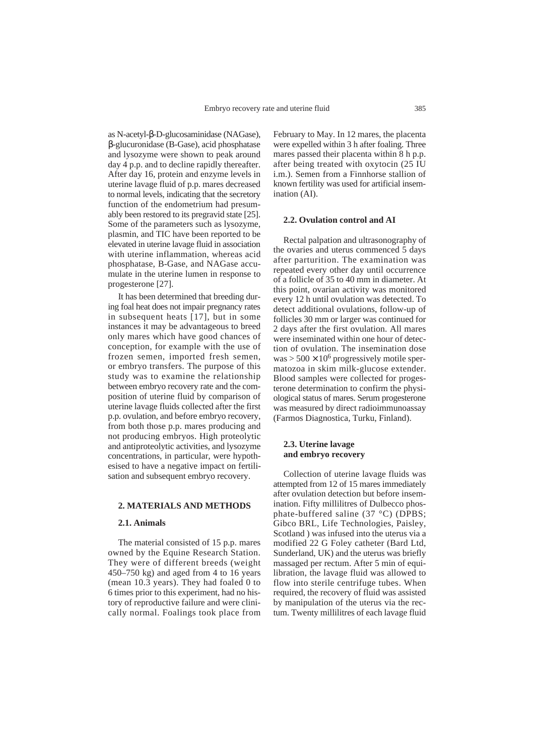as N-acetyl-β-D-glucosaminidase (NAGase), β-glucuronidase (B-Gase), acid phosphatase and lysozyme were shown to peak around day 4 p.p. and to decline rapidly thereafter. After day 16, protein and enzyme levels in uterine lavage fluid of p.p. mares decreased to normal levels, indicating that the secretory function of the endometrium had presumably been restored to its pregravid state [25]. Some of the parameters such as lysozyme, plasmin, and TIC have been reported to be elevated in uterine lavage fluid in association with uterine inflammation, whereas acid phosphatase, B-Gase, and NAGase accumulate in the uterine lumen in response to progesterone [27].

It has been determined that breeding during foal heat does not impair pregnancy rates in subsequent heats [17], but in some instances it may be advantageous to breed only mares which have good chances of conception, for example with the use of frozen semen, imported fresh semen, or embryo transfers. The purpose of this study was to examine the relationship between embryo recovery rate and the composition of uterine fluid by comparison of uterine lavage fluids collected after the first p.p. ovulation, and before embryo recovery, from both those p.p. mares producing and not producing embryos. High proteolytic and antiproteolytic activities, and lysozyme concentrations, in particular, were hypothesised to have a negative impact on fertilisation and subsequent embryo recovery.

#### **2. MATERIALS AND METHODS**

#### **2.1. Animals**

The material consisted of 15 p.p. mares owned by the Equine Research Station. They were of different breeds (weight 450–750 kg) and aged from 4 to 16 years (mean 10.3 years). They had foaled 0 to 6 times prior to this experiment, had no history of reproductive failure and were clinically normal. Foalings took place from February to May. In 12 mares, the placenta were expelled within 3 h after foaling. Three mares passed their placenta within 8 h p.p. after being treated with oxytocin (25 IU i.m.). Semen from a Finnhorse stallion of known fertility was used for artificial insemination (AI).

## **2.2. Ovulation control and AI**

Rectal palpation and ultrasonography of the ovaries and uterus commenced 5 days after parturition. The examination was repeated every other day until occurrence of a follicle of 35 to 40 mm in diameter. At this point, ovarian activity was monitored every 12 h until ovulation was detected. To detect additional ovulations, follow-up of follicles 30 mm or larger was continued for 2 days after the first ovulation. All mares were inseminated within one hour of detection of ovulation. The insemination dose  $was > 500 \times 10^6$  progressively motile spermatozoa in skim milk-glucose extender. Blood samples were collected for progesterone determination to confirm the physiological status of mares. Serum progesterone was measured by direct radioimmunoassay (Farmos Diagnostica, Turku, Finland).

## **2.3. Uterine lavage and embryo recovery**

Collection of uterine lavage fluids was attempted from 12 of 15 mares immediately after ovulation detection but before insemination. Fifty millilitres of Dulbecco phosphate-buffered saline (37 °C) (DPBS; Gibco BRL, Life Technologies, Paisley, Scotland ) was infused into the uterus via a modified 22 G Foley catheter (Bard Ltd, Sunderland, UK) and the uterus was briefly massaged per rectum. After 5 min of equilibration, the lavage fluid was allowed to flow into sterile centrifuge tubes. When required, the recovery of fluid was assisted by manipulation of the uterus via the rectum. Twenty millilitres of each lavage fluid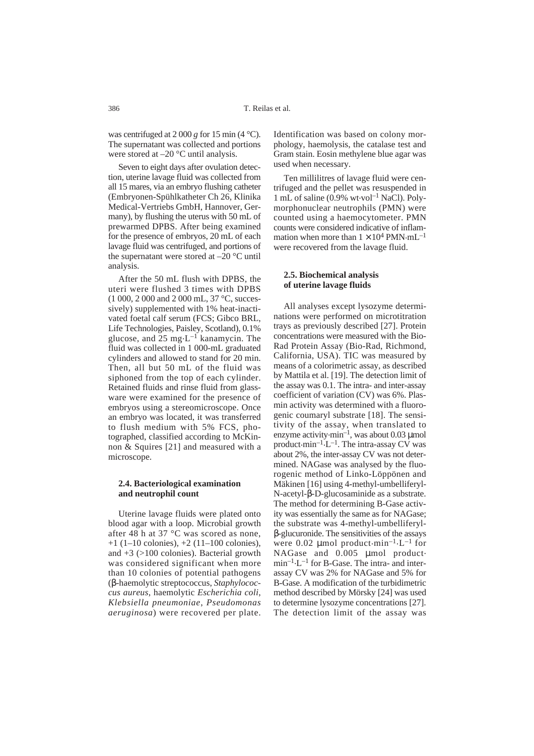was centrifuged at 2 000 *g* for 15 min (4 °C). The supernatant was collected and portions were stored at –20 °C until analysis.

Seven to eight days after ovulation detection, uterine lavage fluid was collected from all 15 mares, via an embryo flushing catheter (Embryonen-Spühlkatheter Ch 26, Klinika Medical-Vertriebs GmbH, Hannover, Germany), by flushing the uterus with 50 mL of prewarmed DPBS. After being examined for the presence of embryos, 20 mL of each lavage fluid was centrifuged, and portions of the supernatant were stored at –20 °C until analysis.

After the 50 mL flush with DPBS, the uteri were flushed 3 times with DPBS (1 000, 2 000 and 2 000 mL, 37 °C, successively) supplemented with 1% heat-inactivated foetal calf serum (FCS; Gibco BRL, Life Technologies, Paisley, Scotland), 0.1% glucose, and  $25 \text{ mg} \cdot \text{L}^{-1}$  kanamycin. The fluid was collected in 1 000-mL graduated cylinders and allowed to stand for 20 min. Then, all but 50 mL of the fluid was siphoned from the top of each cylinder. Retained fluids and rinse fluid from glassware were examined for the presence of embryos using a stereomicroscope. Once an embryo was located, it was transferred to flush medium with 5% FCS, photographed, classified according to McKinnon & Squires [21] and measured with a microscope.

## **2.4. Bacteriological examination and neutrophil count**

Uterine lavage fluids were plated onto blood agar with a loop. Microbial growth after 48 h at 37 °C was scored as none,  $+1$  (1–10 colonies),  $+2$  (11–100 colonies), and +3 (>100 colonies). Bacterial growth was considered significant when more than 10 colonies of potential pathogens (β-haemolytic streptococcus, *Staphylococcus aureus*, haemolytic *Escherichia coli*, *Klebsiella pneumoniae*, *Pseudomonas aeruginosa*) were recovered per plate.

Identification was based on colony morphology, haemolysis, the catalase test and Gram stain. Eosin methylene blue agar was used when necessary.

Ten millilitres of lavage fluid were centrifuged and the pellet was resuspended in 1 mL of saline  $(0.9\% \text{ wt} \cdot \text{vol}^{-1} \text{ NaCl})$ . Polymorphonuclear neutrophils (PMN) were counted using a haemocytometer. PMN counts were considered indicative of inflammation when more than  $1 \times 10^4$  PMN $\cdot$ mL<sup>-1</sup> were recovered from the lavage fluid.

# **2.5. Biochemical analysis of uterine lavage fluids**

All analyses except lysozyme determinations were performed on microtitration trays as previously described [27]. Protein concentrations were measured with the Bio-Rad Protein Assay (Bio-Rad, Richmond, California, USA). TIC was measured by means of a colorimetric assay, as described by Mattila et al. [19]. The detection limit of the assay was 0.1. The intra- and inter-assay coefficient of variation (CV) was 6%. Plasmin activity was determined with a fluorogenic coumaryl substrate [18]. The sensitivity of the assay, when translated to enzyme activity $\cdot$ min<sup>-1</sup>, was about 0.03 µmol product $\cdot$ min<sup>-1</sup>.L<sup>-1</sup>. The intra-assay CV was about 2%, the inter-assay CV was not determined. NAGase was analysed by the fluorogenic method of Linko-Löppönen and Mäkinen [16] using 4-methyl-umbelliferyl-N-acetyl-β-D-glucosaminide as a substrate. The method for determining B-Gase activity was essentially the same as for NAGase; the substrate was 4-methyl-umbelliferylβ-glucuronide. The sensitivities of the assays were 0.02  $\mu$ mol product $\cdot$ min<sup>-1</sup> $\cdot$ L<sup>-1</sup> for NAGase and  $0.005$  µmol product.  $min^{-1} \cdot L^{-1}$  for B-Gase. The intra- and interassay CV was 2% for NAGase and 5% for B-Gase. A modification of the turbidimetric method described by Mörsky [24] was used to determine lysozyme concentrations [27]. The detection limit of the assay was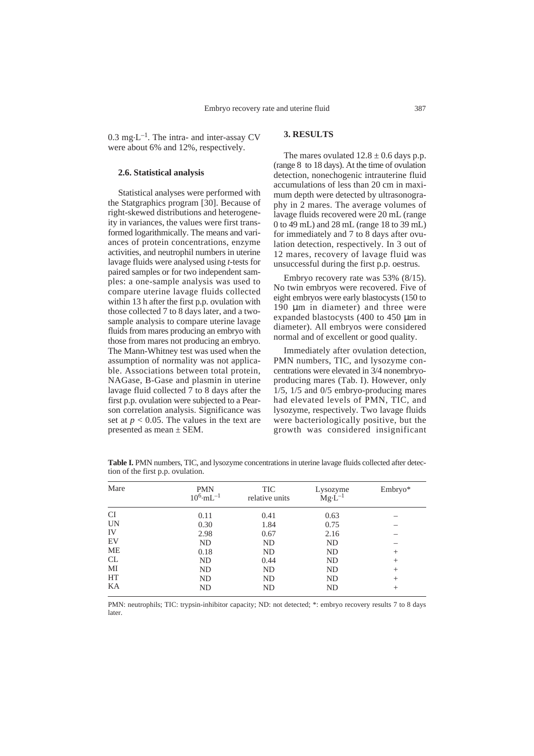$0.3 \text{ mg} \cdot \text{L}^{-1}$ . The intra- and inter-assay CV were about 6% and 12%, respectively.

## **2.6. Statistical analysis**

Statistical analyses were performed with the Statgraphics program [30]. Because of right-skewed distributions and heterogeneity in variances, the values were first transformed logarithmically. The means and variances of protein concentrations, enzyme activities, and neutrophil numbers in uterine lavage fluids were analysed using *t*-tests for paired samples or for two independent samples: a one-sample analysis was used to compare uterine lavage fluids collected within 13 h after the first p.p. ovulation with those collected 7 to 8 days later, and a twosample analysis to compare uterine lavage fluids from mares producing an embryo with those from mares not producing an embryo. The Mann-Whitney test was used when the assumption of normality was not applicable. Associations between total protein, NAGase, B-Gase and plasmin in uterine lavage fluid collected 7 to 8 days after the first p.p. ovulation were subjected to a Pearson correlation analysis. Significance was set at  $p < 0.05$ . The values in the text are presented as mean ± SEM.

# **3. RESULTS**

The mares ovulated  $12.8 \pm 0.6$  days p.p. (range 8 to 18 days). At the time of ovulation detection, nonechogenic intrauterine fluid accumulations of less than 20 cm in maximum depth were detected by ultrasonography in 2 mares. The average volumes of lavage fluids recovered were 20 mL (range 0 to 49 mL) and 28 mL (range 18 to 39 mL) for immediately and 7 to 8 days after ovulation detection, respectively. In 3 out of 12 mares, recovery of lavage fluid was unsuccessful during the first p.p. oestrus.

Embryo recovery rate was 53% (8/15). No twin embryos were recovered. Five of eight embryos were early blastocysts (150 to 190 µm in diameter) and three were expanded blastocysts (400 to 450 µm in diameter). All embryos were considered normal and of excellent or good quality.

Immediately after ovulation detection, PMN numbers, TIC, and lysozyme concentrations were elevated in 3/4 nonembryoproducing mares (Tab. I). However, only 1/5, 1/5 and 0/5 embryo-producing mares had elevated levels of PMN, TIC, and lysozyme, respectively. Two lavage fluids were bacteriologically positive, but the growth was considered insignificant

Table I. PMN numbers, TIC, and lysozyme concentrations in uterine lavage fluids collected after detection of the first p.p. ovulation.

| Mare      | <b>PMN</b><br>$10^6 \text{m}$ L $^{-1}$ | <b>TIC</b><br>relative units | Lysozyme<br>$Mg \dot{L}^{-1}$ | Embryo* |
|-----------|-----------------------------------------|------------------------------|-------------------------------|---------|
| <b>CI</b> | 0.11                                    | 0.41                         | 0.63                          |         |
| <b>UN</b> | 0.30                                    | 1.84                         | 0.75                          |         |
| IV        | 2.98                                    | 0.67                         | 2.16                          |         |
| EV        | ND                                      | <b>ND</b>                    | ND                            |         |
| ME        | 0.18                                    | ND                           | ND                            | $^{+}$  |
| <b>CL</b> | ND                                      | 0.44                         | ND                            | $^{+}$  |
| MI        | ND                                      | <b>ND</b>                    | ND                            | $^{+}$  |
| HT        | ND                                      | <b>ND</b>                    | <b>ND</b>                     | $^{+}$  |
| KA        | ND                                      | ND                           | ND                            | $^+$    |

PMN: neutrophils; TIC: trypsin-inhibitor capacity; ND: not detected; \*: embryo recovery results 7 to 8 days later.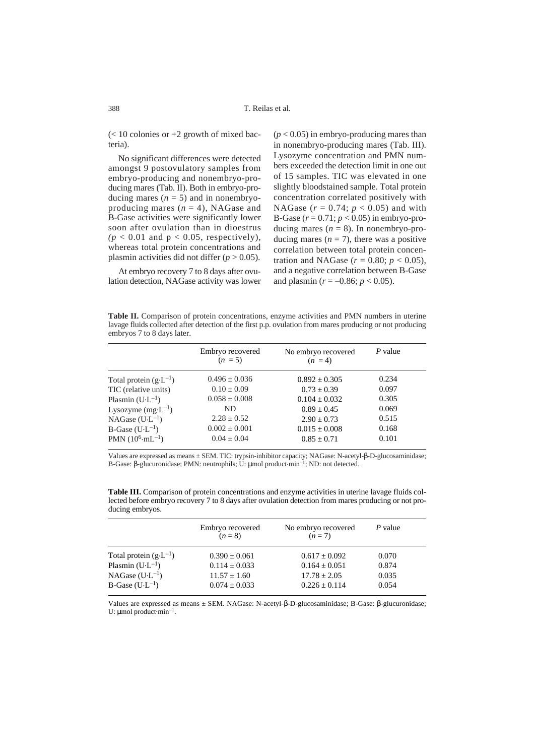$\ll$  10 colonies or +2 growth of mixed bacteria).

No significant differences were detected amongst 9 postovulatory samples from embryo-producing and nonembryo-producing mares (Tab. II). Both in embryo-producing mares  $(n = 5)$  and in nonembryoproducing mares  $(n = 4)$ , NAGase and B-Gase activities were significantly lower soon after ovulation than in dioestrus  $(p < 0.01$  and  $p < 0.05$ , respectively), whereas total protein concentrations and plasmin activities did not differ  $(p > 0.05)$ .

At embryo recovery 7 to 8 days after ovulation detection, NAGase activity was lower

 $(p < 0.05)$  in embryo-producing mares than in nonembryo-producing mares (Tab. III). Lysozyme concentration and PMN numbers exceeded the detection limit in one out of 15 samples. TIC was elevated in one slightly bloodstained sample. Total protein concentration correlated positively with NAGase ( $r = 0.74$ ;  $p < 0.05$ ) and with B-Gase (*r* = 0.71; *p* < 0.05) in embryo-producing mares  $(n = 8)$ . In nonembryo-producing mares  $(n = 7)$ , there was a positive correlation between total protein concentration and NAGase ( $r = 0.80$ ;  $p < 0.05$ ), and a negative correlation between B-Gase and plasmin ( $r = -0.86$ ;  $p < 0.05$ ).

**Table II.** Comparison of protein concentrations, enzyme activities and PMN numbers in uterine lavage fluids collected after detection of the first p.p. ovulation from mares producing or not producing embryos 7 to 8 days later.

|                                  | Embryo recovered<br>$(n = 5)$ | No embryo recovered<br>$(n = 4)$ | P value |  |
|----------------------------------|-------------------------------|----------------------------------|---------|--|
| Total protein $(g \cdot L^{-1})$ | $0.496 \pm 0.036$             | $0.892 \pm 0.305$                | 0.234   |  |
| TIC (relative units)             | $0.10 \pm 0.09$               | $0.73 \pm 0.39$                  | 0.097   |  |
| Plasmin $(U \cdot L^{-1})$       | $0.058 \pm 0.008$             | $0.104 \pm 0.032$                | 0.305   |  |
| Lysozyme $(mg \cdot L^{-1})$     | ND.                           | $0.89 + 0.45$                    | 0.069   |  |
| NAGase $(U-L^{-1})$              | $2.28 \pm 0.52$               | $2.90 \pm 0.73$                  | 0.515   |  |
| B-Gase $(U \cdot L^{-1})$        | $0.002 \pm 0.001$             | $0.015 \pm 0.008$                | 0.168   |  |
| PMN $(10^6 \text{·mL}^{-1})$     | $0.04 \pm 0.04$               | $0.85 \pm 0.71$                  | 0.101   |  |

Values are expressed as means ± SEM. TIC: trypsin-inhibitor capacity; NAGase: N-acetyl-β-D-glucosaminidase; B-Gase: β-glucuronidase; PMN: neutrophils; U: μmol product.min<sup>-1</sup>; ND: not detected.

**Table III.** Comparison of protein concentrations and enzyme activities in uterine lavage fluids collected before embryo recovery 7 to 8 days after ovulation detection from mares producing or not producing embryos.

|                                  | Embryo recovered  | No embryo recovered | P value |
|----------------------------------|-------------------|---------------------|---------|
|                                  | $(n=8)$           | $(n=7)$             |         |
| Total protein $(g \cdot L^{-1})$ | $0.390 \pm 0.061$ | $0.617 \pm 0.092$   | 0.070   |
| Plasmin $(U \cdot L^{-1})$       | $0.114 \pm 0.033$ | $0.164 + 0.051$     | 0.874   |
| NAGase $(U-L^{-1})$              | $11.57 + 1.60$    | $17.78 \pm 2.05$    | 0.035   |
| B-Gase $(U \cdot L^{-1})$        | $0.074 \pm 0.033$ | $0.226 + 0.114$     | 0.054   |
|                                  |                   |                     |         |

Values are expressed as means ± SEM. NAGase: N-acetyl-β-D-glucosaminidase; B-Gase: β-glucuronidase; U:  $\mu$ mol product $\cdot$ min<sup>-1</sup>.

388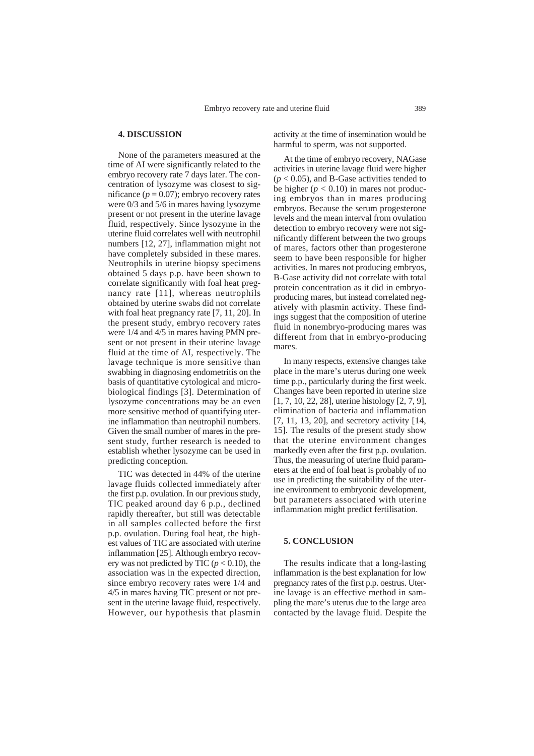## **4. DISCUSSION**

None of the parameters measured at the time of AI were significantly related to the embryo recovery rate 7 days later. The concentration of lysozyme was closest to significance  $(p = 0.07)$ ; embryo recovery rates were 0/3 and 5/6 in mares having lysozyme present or not present in the uterine lavage fluid, respectively. Since lysozyme in the uterine fluid correlates well with neutrophil numbers [12, 27], inflammation might not have completely subsided in these mares. Neutrophils in uterine biopsy specimens obtained 5 days p.p. have been shown to correlate significantly with foal heat pregnancy rate [11], whereas neutrophils obtained by uterine swabs did not correlate with foal heat pregnancy rate [7, 11, 20]. In the present study, embryo recovery rates were 1/4 and 4/5 in mares having PMN present or not present in their uterine lavage fluid at the time of AI, respectively. The lavage technique is more sensitive than swabbing in diagnosing endometritis on the basis of quantitative cytological and microbiological findings [3]. Determination of lysozyme concentrations may be an even more sensitive method of quantifying uterine inflammation than neutrophil numbers. Given the small number of mares in the present study, further research is needed to establish whether lysozyme can be used in predicting conception.

TIC was detected in 44% of the uterine lavage fluids collected immediately after the first p.p. ovulation. In our previous study, TIC peaked around day 6 p.p., declined rapidly thereafter, but still was detectable in all samples collected before the first p.p. ovulation. During foal heat, the highest values of TIC are associated with uterine inflammation [25]. Although embryo recovery was not predicted by TIC  $(p < 0.10)$ , the association was in the expected direction, since embryo recovery rates were 1/4 and 4/5 in mares having TIC present or not present in the uterine lavage fluid, respectively. However, our hypothesis that plasmin

activity at the time of insemination would be harmful to sperm, was not supported.

At the time of embryo recovery, NAGase activities in uterine lavage fluid were higher  $(p < 0.05)$ , and B-Gase activities tended to be higher  $(p < 0.10)$  in mares not producing embryos than in mares producing embryos. Because the serum progesterone levels and the mean interval from ovulation detection to embryo recovery were not significantly different between the two groups of mares, factors other than progesterone seem to have been responsible for higher activities. In mares not producing embryos, B-Gase activity did not correlate with total protein concentration as it did in embryoproducing mares, but instead correlated negatively with plasmin activity. These findings suggest that the composition of uterine fluid in nonembryo-producing mares was different from that in embryo-producing mares.

In many respects, extensive changes take place in the mare's uterus during one week time p.p., particularly during the first week. Changes have been reported in uterine size [1, 7, 10, 22, 28], uterine histology [2, 7, 9], elimination of bacteria and inflammation [7, 11, 13, 20], and secretory activity [14, 15]. The results of the present study show that the uterine environment changes markedly even after the first p.p. ovulation. Thus, the measuring of uterine fluid parameters at the end of foal heat is probably of no use in predicting the suitability of the uterine environment to embryonic development, but parameters associated with uterine inflammation might predict fertilisation.

#### **5. CONCLUSION**

The results indicate that a long-lasting inflammation is the best explanation for low pregnancy rates of the first p.p. oestrus. Uterine lavage is an effective method in sampling the mare's uterus due to the large area contacted by the lavage fluid. Despite the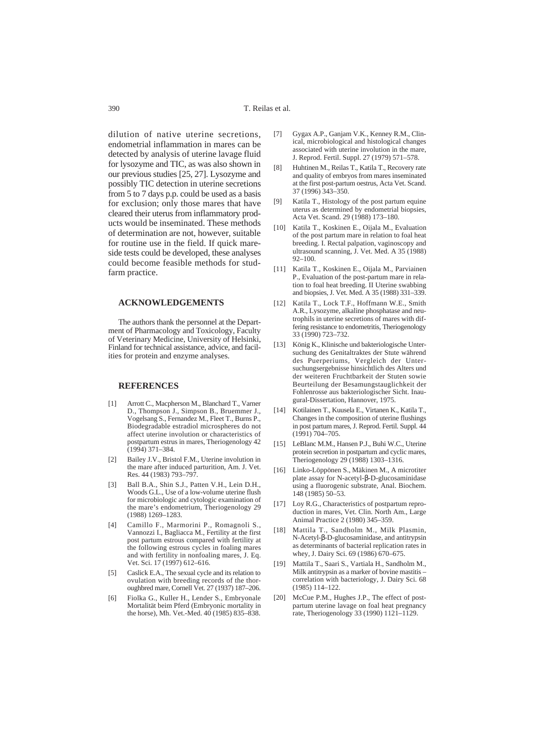dilution of native uterine secretions, endometrial inflammation in mares can be detected by analysis of uterine lavage fluid for lysozyme and TIC, as was also shown in our previous studies [25, 27]. Lysozyme and possibly TIC detection in uterine secretions from 5 to 7 days p.p. could be used as a basis for exclusion; only those mares that have cleared their uterus from inflammatory products would be inseminated. These methods of determination are not, however, suitable for routine use in the field. If quick mareside tests could be developed, these analyses could become feasible methods for studfarm practice.

## **ACKNOWLEDGEMENTS**

The authors thank the personnel at the Department of Pharmacology and Toxicology, Faculty of Veterinary Medicine, University of Helsinki, Finland for technical assistance, advice, and facilities for protein and enzyme analyses.

## **REFERENCES**

- [1] Arrott C., Macpherson M., Blanchard T., Varner D., Thompson J., Simpson B., Bruemmer J., Vogelsang S., Fernandez M., Fleet T., Burns P., Biodegradable estradiol microspheres do not affect uterine involution or characteristics of postpartum estrus in mares, Theriogenology 42  $(1994)$  371–384.
- [2] Bailey J.V., Bristol F.M., Uterine involution in the mare after induced parturition, Am. J. Vet. Res. 44 (1983) 793–797.
- [3] Ball B.A., Shin S.J., Patten V.H., Lein D.H., Woods G.L., Use of a low-volume uterine flush for microbiologic and cytologic examination of the mare's endometrium, Theriogenology 29 (1988) 1269–1283.
- [4] Camillo F., Marmorini P., Romagnoli S., Vannozzi I., Bagliacca M., Fertility at the first post partum estrous compared with fertility at the following estrous cycles in foaling mares and with fertility in nonfoaling mares, J. Eq. Vet. Sci. 17 (1997) 612–616.
- [5] Caslick E.A., The sexual cycle and its relation to ovulation with breeding records of the thoroughbred mare, Cornell Vet. 27 (1937) 187–206.
- [6] Fiolka G., Kuller H., Lender S., Embryonale Mortalität beim Pferd (Embryonic mortality in the horse), Mh. Vet.-Med. 40 (1985) 835–838.
- [7] Gygax A.P., Ganjam V.K., Kenney R.M., Clinical, microbiological and histological changes associated with uterine involution in the mare, J. Reprod. Fertil. Suppl. 27 (1979) 571–578.
- [8] Huhtinen M., Reilas T., Katila T., Recovery rate and quality of embryos from mares inseminated at the first post-partum oestrus, Acta Vet. Scand. 37 (1996) 343–350.
- [9] Katila T., Histology of the post partum equine uterus as determined by endometrial biopsies, Acta Vet. Scand. 29 (1988) 173–180.
- [10] Katila T., Koskinen E., Oijala M., Evaluation of the post partum mare in relation to foal heat breeding. I. Rectal palpation, vaginoscopy and ultrasound scanning, J. Vet. Med. A 35 (1988) 92–100.
- [11] Katila T., Koskinen E., Oijala M., Parviainen P., Evaluation of the post-partum mare in relation to foal heat breeding. II Uterine swabbing and biopsies, J. Vet. Med. A 35 (1988) 331–339.
- [12] Katila T., Lock T.F., Hoffmann W.E., Smith A.R., Lysozyme, alkaline phosphatase and neutrophils in uterine secretions of mares with differing resistance to endometritis, Theriogenology 33 (1990) 723–732.
- [13] König K., Klinische und bakteriologische Untersuchung des Genitaltraktes der Stute während des Puerperiums, Vergleich der Untersuchungsergebnisse hinsichtlich des Alters und der weiteren Fruchtbarkeit der Stuten sowie Beurteilung der Besamungstauglichkeit der Fohlenrosse aus bakteriologischer Sicht. Inaugural-Dissertation, Hannover, 1975.
- [14] Kotilainen T., Kuusela E., Virtanen K., Katila T., Changes in the composition of uterine flushings in post partum mares, J. Reprod. Fertil. Suppl. 44  $(1991)$  704–705.
- [15] LeBlanc M.M., Hansen P.J., Buhi W.C., Uterine protein secretion in postpartum and cyclic mares, Theriogenology 29 (1988) 1303–1316.
- [16] Linko-Löppönen S., Mäkinen M., A microtiter plate assay for N-acetyl-β-D-glucosaminidase using a fluorogenic substrate, Anal. Biochem. 148 (1985) 50–53.
- [17] Loy R.G., Characteristics of postpartum reproduction in mares, Vet. Clin. North Am., Large Animal Practice 2 (1980) 345–359.
- [18] Mattila T., Sandholm M., Milk Plasmin, N-Acetyl-β-D-glucosaminidase, and antitrypsin as determinants of bacterial replication rates in whey, J. Dairy Sci. 69 (1986) 670–675.
- [19] Mattila T., Saari S., Vartiala H., Sandholm M., Milk antitrypsin as a marker of bovine mastitis – correlation with bacteriology, J. Dairy Sci. 68 (1985) 114–122.
- [20] McCue P.M., Hughes J.P., The effect of postpartum uterine lavage on foal heat pregnancy rate, Theriogenology 33 (1990) 1121–1129.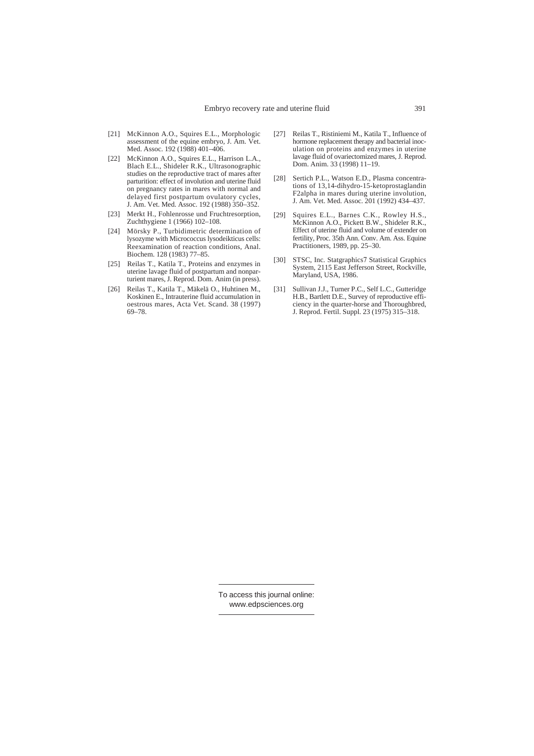- [21] McKinnon A.O., Squires E.L., Morphologic assessment of the equine embryo, J. Am. Vet. Med. Assoc. 192 (1988) 401–406.
- [22] McKinnon A.O., Squires E.L., Harrison L.A., Blach E.L., Shideler R.K., Ultrasonographic studies on the reproductive tract of mares after parturition: effect of involution and uterine fluid on pregnancy rates in mares with normal and delayed first postpartum ovulatory cycles, J. Am. Vet. Med. Assoc. 192 (1988) 350–352.
- [23] Merkt H., Fohlenrosse und Fruchtresorption, Zuchthygiene 1 (1966) 102–108.
- [24] Mörsky P., Turbidimetric determination of lysozyme with Micrococcus lysodeikticus cells: Reexamination of reaction conditions, Anal. Biochem. 128 (1983) 77–85.
- [25] Reilas T., Katila T., Proteins and enzymes in uterine lavage fluid of postpartum and nonparturient mares, J. Reprod. Dom. Anim (in press).
- [26] Reilas T., Katila T., Mäkelä O., Huhtinen M., Koskinen E., Intrauterine fluid accumulation in oestrous mares, Acta Vet. Scand. 38 (1997) 69–78.
- [27] Reilas T., Ristiniemi M., Katila T., Influence of hormone replacement therapy and bacterial inoculation on proteins and enzymes in uterine lavage fluid of ovariectomized mares, J. Reprod. Dom. Anim. 33 (1998) 11–19.
- [28] Sertich P.L., Watson E.D., Plasma concentrations of 13,14-dihydro-15-ketoprostaglandin F2alpha in mares during uterine involution, J. Am. Vet. Med. Assoc. 201 (1992) 434–437.
- [29] Squires E.L., Barnes C.K., Rowley H.S., McKinnon A.O., Pickett B.W., Shideler R.K., Effect of uterine fluid and volume of extender on fertility, Proc. 35th Ann. Conv. Am. Ass. Equine Practitioners, 1989, pp. 25–30.
- [30] STSC, Inc. Statgraphics7 Statistical Graphics System, 2115 East Jefferson Street, Rockville, Maryland, USA, 1986.
- [31] Sullivan J.J., Turner P.C., Self L.C., Gutteridge H.B., Bartlett D.E., Survey of reproductive efficiency in the quarter-horse and Thoroughbred, J. Reprod. Fertil. Suppl. 23 (1975) 315–318.

To access this journal online: www.edpsciences.org